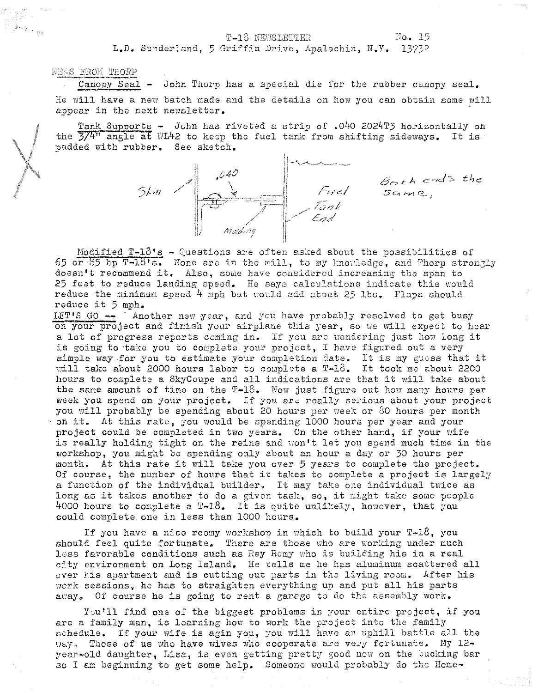## T-13 NEWSLETTER No. 15

L.D. Sunderland, 5 Sriffin Drive, Apalachin, N.Y. 13732

NEWS FROM THORP

Canopy Seal - John Thorp has a special die for the rubber canopy seal. He will have a new batch made and the details on how you can obtain some will appear in the next newsletter.

Tank Supports - John has riveted a strip of .040 2024T3 horizontally on the  $3/4$ <sup>11</sup> angle at WL42 to keep the fuel tank from shifting sideways. It is padded with rubber. See sketch.



*6'0" h* c,",ds *the*   $sa$ me.,

Modified  $T-\frac{1}{5}$  - Questions are often asked about the possibilities of 65 or 85 hp T-18's. None are in the mill, to my knowledge, and Thorp strongly doesn't recommend it. Also, some have considered increasing the span to 25 feet to reduce landing speed. He says calculations indicate this would reduce the minimum speed 4 mph but "ould acid about 25 Ibs. Flaps should reduce it 5 mph.

LET'S GO -- Another new year, and you have probably resolved to get busy on your project and finish your airplane this year, so we will expect to hear a lot of progress reports coming in. If you are wondering just how long it is going to 'take you to complete your project, I have figured out a very simple way for you to estimate your completion date. It is my guess that it will take about 2000 hours labor to complete a  $T-16$ . It took me about 2200 hours to complete a SkyCoupe and all indications arc that it will take about the same amount of time on the  $T=18$ . Now just figure out how many hours per week you spend on your project. If you are really serious about your project you will probably be spending about 20 hours per week or 80 hours per month on it. At this rate, you would be spending 1000 hours per year and your project could be completed in two years. On the other hand, if your wife is really holding tight on the reins and won't let you spend much time in the workshop, you might be spending only about an hour a day or 30 hours per month. At this rate it will take you over 5 years to complete the project. Of course, the number of hours that it takes to complete a project is largely a function of the individual builder. It may take one individual twice as long as it takes another to do a given task, so, it might take some people 4000 hours to complete a  $T-18$ . It is quite unlikely, however, that you could complete one in less than 1000 hours.

If you have a nice roomy workshop in which to build your  $T-18$ , you should feel quite fortunate. There are those who are working under much less favorable conditions such as Ray Remy who is building his in a real city environment on Long Island. He tells me he has aluminum scattered all over his apartment and is cutting out parts in the living room. After his work sessions, he has to straighten everything up and put all his parts away. Of course he is going to rent a garage to do the assembly work.

You'll find one of the biggest problems in your entire project, if you are a family man, is learning how to work the project into the family schedule. If your wife is agin you, you will have an uphill battle all the  $w_{\text{c}}y$ . Those of us who have wives who cooperate are very fortunate. My  $12$ year-old daughter, Lisa, is even getting pretty good now on the bucking bar so I am beginning to get some help. Someone would probably do the Home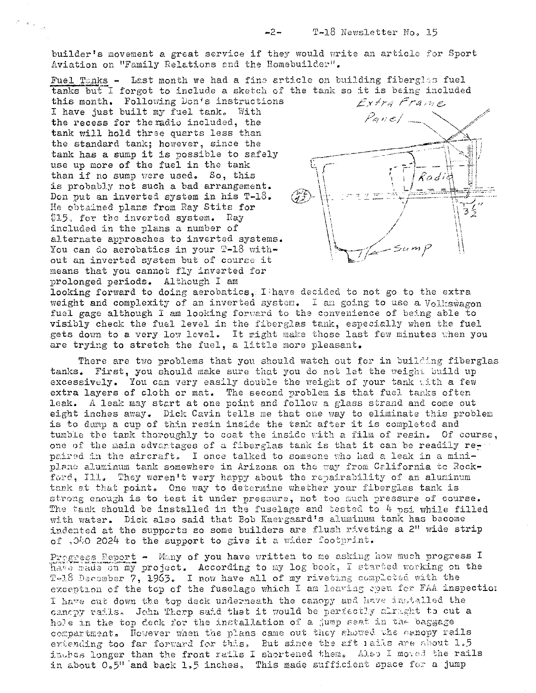builder's movement a great service if they would write an article for Sport Aviation on "Family Relations and the Homebuilder".

Fuel Tanks - Last month we had a fine article on building fiberglas fuel tanks but I forgot to include a sketch of the tank so it is being included

this month. Following Don's instructions I have just built my fuel tank. With the recess for the radio included, the tank will hold three quarts less than the standard tank; however, since the tank has a sump it is possible to safely use up more of the fuel in the tank than if no sump were used. So, this is probably not such a bad arrangement. Don put an inverted system in his T-18. He obtained plans from Ray Stits for \$15. for the inverted system. Ray included in the plans a number of alternate approaches to inverted systems. You can do aerobatics in your  $T-18$  without an inverted system but of course it means that you cannot fly inverted for prolonged periods. Although I am

Extra Frame Panel Radi  $\mathbb{Z}^2$ 3

looking forward to doing aerobatics, I have decided to not go to the extra weight and complexity of an inverted system. I am going to use a Volkswagon fuel gage although I am looking forward to the convenience of being able to visibly check the fuel level in the fiberglas tank, especially when the fuel gets down to a very low level. It might make those last few minutes when you are trying to stretch the fuel, a little more pleasant.

There are two problems that you should watch out for in building fiberglas tanks. First, you should make sure that you do not let the weight build up excessively. You can very easily double the weight of your tank with a few extra layers of cloth or mat. The second problem is that fuel tanks often leak. A leak may start at one point and follow a glass strand and come out eight inches away. Dick Cavin tells me that one way to eliminate this problem is to dump a cup of thin resin inside the tank after it is completed and tumble the tank thoroughly to coat the inside with a film of resin. Of course, one of the main advantages of a fiberglas tank is that it can be readily repaired in the aircraft. I once talked to someone who had a leak in a miniplane aluminum tank somewhere in Arizona on the way from California to Rockford, Ill. They weren't very happy about the repairability of an aluminum tank at that point. One way to determine whether your fiberglas tank is strong enough is to test it under pressure, not too much pressure of course. The tank should be installed in the fuselage and tested to  $4$  psi while filled with water. Dick also said that Bob Kaergaard's aluminum tank has become indented at the supports so some builders are flush riveting a 2" wide strip of .040 2024 to the support to give it a wider footprint.

Progress Report - Many of you have written to me asking how much progress I have made on my project. According to my log book, I started working on the T-18 December 7, 1963. I now have all of my riveting completed with the exception of the top of the fuselage which I am leaving spen for FAA inspection I have out down the top deck underneath the canopy and have installed the canopy rails. John Thorp said that it would be perfectly alraght to cut a hole in the top deck for the installation of a jump seat in the baggage compartment. However when the plans came out they showed the canopy rails extending too far forward for this, But since the aft rails are about 1.5 inghes longer than the front ratls I shortened them. Also I moved the rails in about O.5" and back 1.5 inches. This made sufficient space for a jump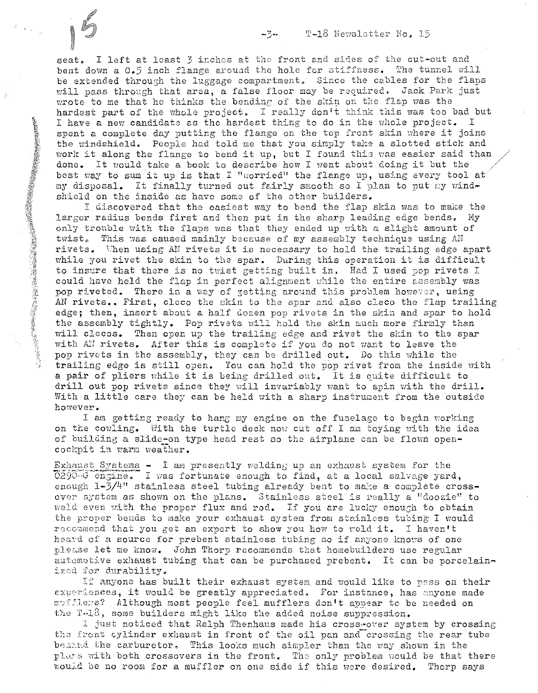seat. I left at least 3 inches at the front and sides of the cut-out and bent down a 0.5 inch flange around the hole for stiffness. The tunnel will be extended through the luggage compartment. Since the cables for the flaps will pass through that area, a false floor may be required. Jack Park just wrote to me that he thinks the bending of the skin on the flap was the hardest part of the whole project. I really don't think this was too bad but<br>I have a new candidate as the hardest thing to do in the whole project. I I have a new candidate as the hardest thing to do in the whole project. spent a complete day putting the flange on the top front skin where it joins the windshield. People had told me that you simply take a slotted stick and work it along the flange to bend it up, but I found this was easier said than done. It would take a book to describe how I went about doing it but the best way to sum it up is that I "worried" the flange up, using every tool at my disposal. It finally turned out fairly smooth so I plan to put my windshield on the inside as have some of the other builders.

I discovered that the easiest way to bend the flap skin was to make the larger radius bends first and then put in the sharp leading edge bends. My only trouble with the flaps was that they ended up with a slight amount of twist. This was caused mainly because of my assembly technique using AH rivets. When using AN rivets it is necessary to hold the trailing edge apart while you rivet the skin to the spar. During this operation it is difficult to insure that there is no twist getting built in, Had I used pop rivets I could have held the flap in perfect alignment while the entire assembly was pop riveted. There is a way of getting around this problem however, using AN rivets.. First, cleco the skin to the spar and also cleco the flap trailing edge; then, insert about a half dozen pop rivets in the skin and spar to hold the assembly tightly. Pop rivets will hold the skin much more firmly than will clecos. Then open up the trailing edge and rivet the skin to the spar with AN rivets. After this is complete if you do not want to leave the pop rivets in the assembly, they can be drilled out. Do this while the trailing edge is still open. You can hold the pop rivet from the inside with a pair of pliers while it is being drilled out. It is quite difficult to drill out pop rivets since they will invariably want to spin with the drill. With a little care they can be held with a sharp instrument from the outside however.

I am getting ready to hang my engine on the fuselage to begin working on the cowling. With the turtle deck now cut off I am toying with the idea of building a slide-on type head rest so the airplane can be flown open $cockpit$  in warm weather.

Exhaust Systems - I am presently welding up an exhaust system for the  $0290 - G$  engine. I was fortunate enough to find, at a local salvage yard, enough  $1-3/4$ " stainless steel tubing already bent to make a complete crossover system as shown on the plans. Stainless steel is really a "doozie" to weld even with the proper flux and rod. If you are lucky enough to obtain the proper bends to make your exhaust system from stainless tubing I would recommend that you get an expert to show you how to weld it. I haven't heard of a source for prebent stainless tubing so if anyone knows of one please let me know. John Thorp recommends that homebuilders use regular automotive exhaust tubing that can be purchased prebent. It can be porcelainized for durability.

If anyone has built their exhaust system and would like to pass on their experiences, it would be greatly appreciated. For instance, has anyone made mufflexs? Although most people feel mufflers don't appear to be needed on the  $T-13$ , some builders might like the added noise suppression.

I just noticed that Ralph Thenhaus made his cross-over system by crossing the front cylinder exhaust in front of the oil pan and crossing the rear tube behand the carburetor. This looks much simpler than the way shown in the plars with both crossovers in the front. The only problem would be that there would be no room for a muffler on one side if this were desired. Thorp says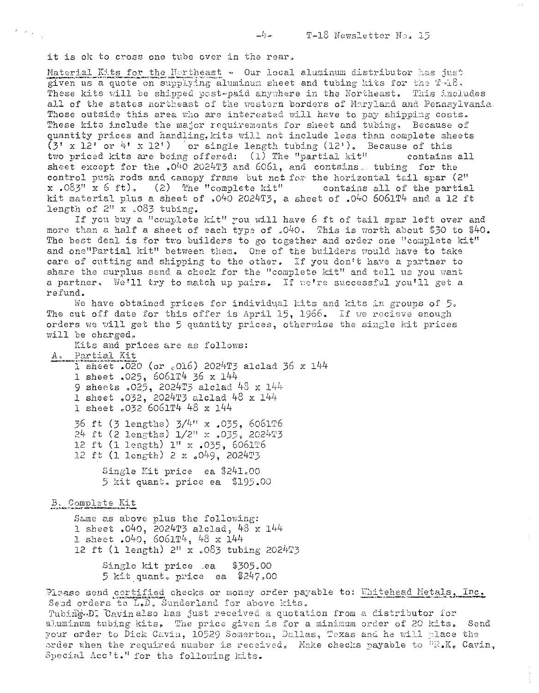it is ok to cross one tube over in the rear.

 $\label{eq:expansion} \mathcal{E} = \left\{ \mathbf{r}_{\text{max}} \right\}_{\text{max}}$ 

Material Kits for the Hortheast - Our local aluminum distributor has just given us a quote on supplying aluminum sheet and tubing kits for the T-18. These kits will be shipped post-paid anywhere in the Northeast. This includes all of the states northeast of the western borders of Maryland and Pennsylvania. Those outside this area who are interested will have to pay shipping costs. These kits include the major requirements for sheet and tubing. Because of quantity prices and handling, kits will not include less than complete sheets  $(3' \times 12' \text{ or } 4' \times 12')$  or single length tubing  $(12')$ . Because of this two priced kits are being offered: (1) The "partial kit" contains all sheet except for the  $*0^{4}0$  2024T3 and 6061, and contains tubing for the control push rods and canopy frame but not for the horizontal tail spar (2" x.083" x 6 ft). (2) The "complete kit" contains all of the partial kit material plus a sheet of .040 2024T3, a sheet of .040 6061T4 and a 12 ft length of  $2^n$  x .083 tubing.

 $L_{\rm max}$ 

If you buy a "complete kit" you will have 6 ft of tail spar left over and more than a half a sheet of each type of  $.040$ . This is worth about \$30 to \$40. The best deal is for two builders to go together and order one "complete kit" and one"Partial kit" between them. One of the builders would have to take care of cutting and shipping to the other. If you don't have a partner to share the surplus send a check for the "complete kit" and tell us you want a partner. We'll try to match up pairs. If we're successful you'll get a refund.

We have obtained prices for individual kits and kits in groups of 5. The cut off date for this offer is April 15. 1966. If we recieve enough orders we will get the 5 quantity prices, otherwise the single kit prices will be charged.

Kits and prices are as follows: A. Partial Kit 1 sheet .020 (or  $_{c}$ 016) 2024T3 alclad 36 x 144 1 sheet .025, 6061T4 36 x 144 9 sheets .025, 2024T3 alclad 48 x 144 1 sheet .032, 2024T3 alclad 48 x 144 1 sheet .032 6061T4 48 x 144 36 ft (3 lengths)  $3/4$ <sup>n</sup> x .035, 6061T6<br>24 ft (2 lengths)  $1/2$ <sup>n</sup> x .035, 2024T3 12 ft (1 length) 1" x .035, 6061T6 12 ft (1 length) 2 x .049, 2024T3 Single Kit price ea \$241.00

5 kit quant. price ea \$195.00

B. Complete Kit

Same as above plus the following: 1 sheet  $.040$ , 2024T3 alclad, 48 x 144 1 sheet . 040, 6061T4, 48 x 144 12 ft (1 length) 2" x .083 tubing 2024T3 Single kit price .ea \$305.00 5 kit quant, price ea  $$247,00$ 

Plaase send certified checks or money order payable to: Whitehead Metals, Inc. Send orders to L.D. Sunderland for above kits. Tubing.D. Cavinalso has just received a quotation from a distributor for aluminum tubing kits. The price given is for a minimum order of 20 kits. Send your order to Dick Cavin, 10529 Somerton, Dallas, Texas and he will place the order when the required number is received. Make checks payable to  ${}^{11}R_8K_6$  Cavin, Special Acc't." for the following kits.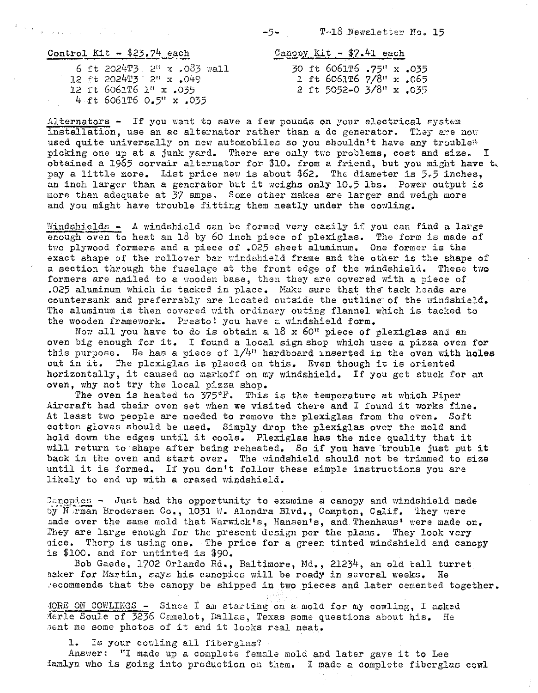T-18 Newsletter No. 15

| Control Kit $-$ \$23.74 each<br>www.facedone.glueteam.com/ statistical communications and analysis communications (see the contractions |  |  |  |  |  |                                   |  |  |
|-----------------------------------------------------------------------------------------------------------------------------------------|--|--|--|--|--|-----------------------------------|--|--|
|                                                                                                                                         |  |  |  |  |  | 6 ft 2024T3, $2^{11}$ x .083 wall |  |  |

 $\begin{array}{l} \Phi_{\alpha\beta}(\mathbf{x}_{\alpha\beta}\mathbf{y}_{\alpha\beta})\\ \hline \end{array} \qquad \begin{array}{l} \Phi_{\alpha\beta}(\mathbf{x}_{\alpha\beta})\\ \hline \end{array} \qquad \begin{array}{l} \Phi_{\alpha\beta}(\mathbf{x}_{\alpha\beta})\\ \hline \end{array} \qquad \begin{array}{l} \Phi_{\alpha\beta}(\mathbf{x}_{\alpha\beta})\\ \hline \end{array} \qquad \begin{array}{l} \Phi_{\alpha\beta}(\mathbf{x}_{\alpha\beta})\\ \hline \end{array} \qquad \begin{array}{l} \Phi_{\alpha\beta}(\mathbf{x}_{\alpha\beta})$ 

12 ft 202*<sup>i</sup>* +T3· 2" x .049 12 ft 6061T6 1" x .035 4 ft 6061T6 0.5" x .035

Can~p'Y Kit - \$7.41 each **--"""'-- -** 30 ft 6061T6 .75" x .035 1 ft 6061T6 7/8" x .c65 2 ft 5052-0 3/8" x .035

Alternators - If you want to save a few pounds on your electrical system installation, use an ac alternator rather than a dc generator. They are now used quite universally on new automobiles so you shouldn't have any trouble<sup>14</sup> picking one up at a junk yard. There are only two problems, cost and size. I obtained a 1965 corvair alternator for \$10. from a friend, but you might have t, pay a little more. List price new is about \$62. The diameter is 5.5 inches, an inch larger than a generator but it weighs only 10.5 lbs. Power output is more than adequate at 37 amps. Some other makes are larger and weigh more and you might have trouble fitting them neatly under the cowling.

 $-5-$ 

Windshields - A windshield can be formed very easily if you can find a large enough oven to heat an 18 by 60 inch piece of plexiglas. The form is made of two plywood formers and a piece of .025 sheet aluminum. One former is the exact shape of the rollover bar windshield frame and the other is the shape of a section through the fuselage at the front edge of the windshield. These two formers are nailed to a wooden base, then they are covered with a piece of .025 aluminum which is tacked in place. Make sure that the tack heads are countersunk and preferrably are located outside the outline of the windshield. The aluminum is then covered with ordinary outing flannel which is tacked to the wooden framework. Presto! you have a windshield form.

Now all you have to do is obtain a  $18 \times 60$ " piece of plexiglas and an oven big enough for it. I found a local sign shop which uses a pizza oven for this purpose. He has a piece of  $1/4$ " hardboard inserted in the oven with holes cut in it. The plexiglas is placed on this. Even though it is oriented horizontally, it caused no markof! on my windshield. If you get stuck for an oven, why not try the local pizza shop.

The oven is heated to  $375^{\circ}$ F. This is the temperature at which Piper Aircraft had their oven set when we visited there and I found it works fine. At least two people are needed to remove the plexiglas from the oven. Soft cotton gloves should be used. Simply drop the plexiglas over the mold and hold down the edges until it cools. Plexiglas has the nice quality that it will return to shape after being reheated. So if you have trouble just put it back in the oven and start over. The windshield should not be trimmed to size until it is formed. If you don't follow these simple instructions you are likely to end up with a crazed windshield.

 $\frac{1}{2}$  anopies - Just had the opportunity to examine a canopy and windshield made by Narman Brodersen Co., 1031 W. Alondra Blvd., Compton, Calif. They were nade over the same mold that Warwick's, Hansen's, and Thenhaus' were made on. fhey are large enough for the present design per the plans. They look very nice. Thorp is using one. The price for a green tinted windshield and canopy is \$100. and for untinted is \$90.

Bob Gaede, 1702 Orlando Rd., Baltimore, Md., 21234, an old ball turret naker for Martin, says his canopies will be ready in several weeks. He ,'ecommends that the canopy be shipped in two pieces and later cemented together.

lORE on COWLINGS **-** Since *t* am starting on a mold for my cowling, I asked Merle Soule of 3236 Camelot, Dallas, Texas some questions about his. He erie boure of 2200 banefor, Dalias, Texas some quantum come photos of it and it looks real neat.

1. Is your cowling all fiberglas?

Answer: "I made up a complete female mold and later gave it to Lee {amlyn who is going into production on them. I made a complete fiberglas cowl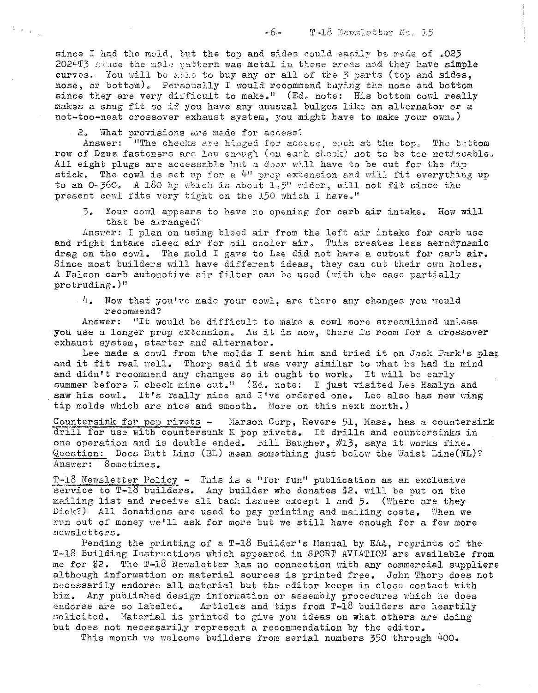since I had the mold, but the top and sides could easily be made of .025 2024T3 stace the male pattern was metal in these areas and they have simple curves. You will be able to buy any or all of the 3 parts (top and sides, nose, or bottom). Personally I would recommend buying the nose and bottom since they are very difficult to make." (Ed. note: His bottom cowl really makes a snug fit so if you have any unusual bulges like an alternator or a not-too-neat crossover exhaust system, you might have to make your own.)

2. What provisions are made for access?

 $\mathbb{E}[\mathbb{E}_{\mathfrak{p}}]_{\mathbb{E}_{\mathfrak{p}}(\mathfrak{p})}$ 

Answer: "The checks are hinged for access, each at the top. The bottom row of Dzuz fasteners are low enough (on each cheek) not to be toe noticeable. All eight plugs are accessable but a door will have to be cut for the dip stick. The cowl is set up for a 4" prop extension and will fit everything up to an 0-360. A 180 hp which is about 1.5" wider, will not fit since the present cowl fits very tight on the 150 which I have."

 $\overline{3}$ . Your cowl appears to have no opening for carb air intake. How will that be arranged?

Answer: I plan on using bleed air from the left air intake for carb use and right intake bleed air for oil cooler air. This creates less aerodynamic drag on the cowl. The mold I gave to Lee did not have a cutout for carb air. Since most builders will have different ideas, they can cut their own holes. A Falcon carb automotive air filter can be used (with the case partially protruding.)"

4. Now that you've made your cowl, are there any changes you would recommend?

Answer: "It would be difficult to make a cowl more streamlined unless you use a longer prop extension. As it is now, there is room for a crossover exhaust system, starter and alternator.

Lee made a cowl from the molds I sent him and tried it on Jack Park's plan and it fit real well. Thorp said it was very similar to what he had in mind and didn't recommend any changes so it ought to work. It will be early summer before I check mine out." (Ed. note: I just visited Lee Hamlyn and saw his cowl. It's really nice and I've ordered one. Lee also has new wing tip molds which are nice and smooth. More on this next month.)

Countersink for pop rivets - Marson Corp, Revere 51, Mass. has a countersink drill for use with countersunk K pop rivets. It drills and countersinks in one operation and is double ended. Bill Baugher, #13, says it works fine. Question: Does Butt Line (BL) mean something just below the Waist Line(WL)? Answer: Sometimes.

 $T-18$  Newsletter Policy - This is a "for fun" publication as an exclusive service to  $T=18$  builders. Any builder who donates \$2. will be put on the mailing list and receive all back issues except 1 and 5. (Where are they Dick?) All donations are used to pay printing and mailing costs. When we run out of money we'll ask for more but we still have enough for a few more newsletters.

Pending the printing of a T-18 Builder's Manual by EAA, reprints of the T-18 Building Instructions which appeared in SPORT AVIATION are available from me for \$2. The T-18 Newsletter has no connection with any commercial suppliers although information on material sources is printed free. John Thorp does not necessarily endorse all material but the editor keeps in close contact with him. Any published design information or assembly procedures which he does endorse are so labeled. Articles and tips from T-18 builders are heartily solicited. Material is printed to give you ideas on what others are doing but does not necessarily represent a recommendation by the editor.

This month we welcome builders from serial numbers 350 through 400.